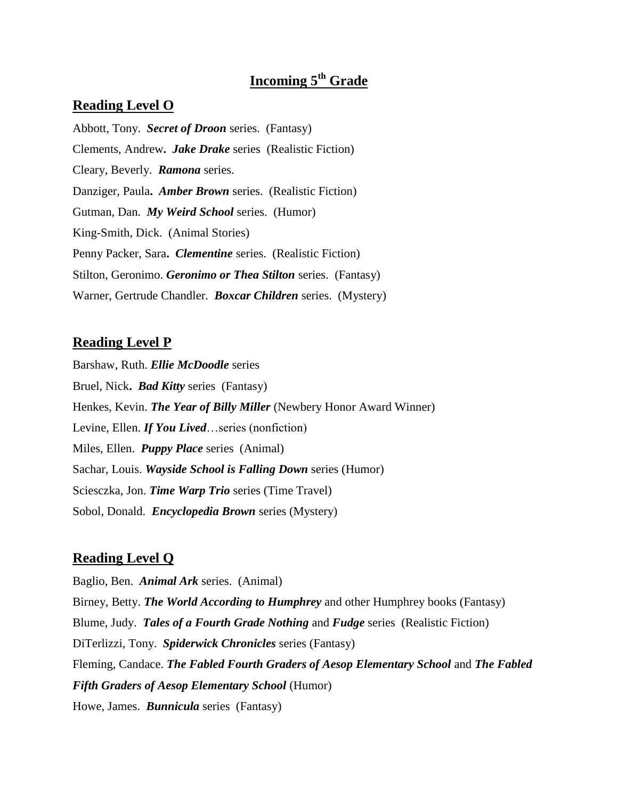# **Incoming 5th Grade**

#### **Reading Level O**

Abbott, Tony. *Secret of Droon* series. (Fantasy) Clements, Andrew**.** *Jake Drake* series (Realistic Fiction) Cleary, Beverly. *Ramona* series. Danziger, Paula**.** *Amber Brown* series. (Realistic Fiction) Gutman, Dan. *My Weird School* series. (Humor) King-Smith, Dick. (Animal Stories) Penny Packer, Sara**.** *Clementine* series. (Realistic Fiction) Stilton, Geronimo. *Geronimo or Thea Stilton* series. (Fantasy) Warner, Gertrude Chandler. *Boxcar Children* series. (Mystery)

#### **Reading Level P**

Barshaw, Ruth. *Ellie McDoodle* series Bruel, Nick**.** *Bad Kitty* series (Fantasy) Henkes, Kevin. *The Year of Billy Miller* (Newbery Honor Award Winner) Levine, Ellen. *If You Lived*…series (nonfiction) Miles, Ellen. *Puppy Place* series (Animal) Sachar, Louis. *Wayside School is Falling Down* series (Humor) Sciesczka, Jon. *Time Warp Trio* series (Time Travel) Sobol, Donald. *Encyclopedia Brown* series (Mystery)

#### **Reading Level Q**

Baglio, Ben. *Animal Ark* series. (Animal) Birney, Betty. *The World According to Humphrey* and other Humphrey books (Fantasy) Blume, Judy. *Tales of a Fourth Grade Nothing* and *Fudge* series (Realistic Fiction) DiTerlizzi, Tony. *Spiderwick Chronicles* series (Fantasy) Fleming, Candace. *The Fabled Fourth Graders of Aesop Elementary School* and *The Fabled Fifth Graders of Aesop Elementary School* (Humor) Howe, James. *Bunnicula* series (Fantasy)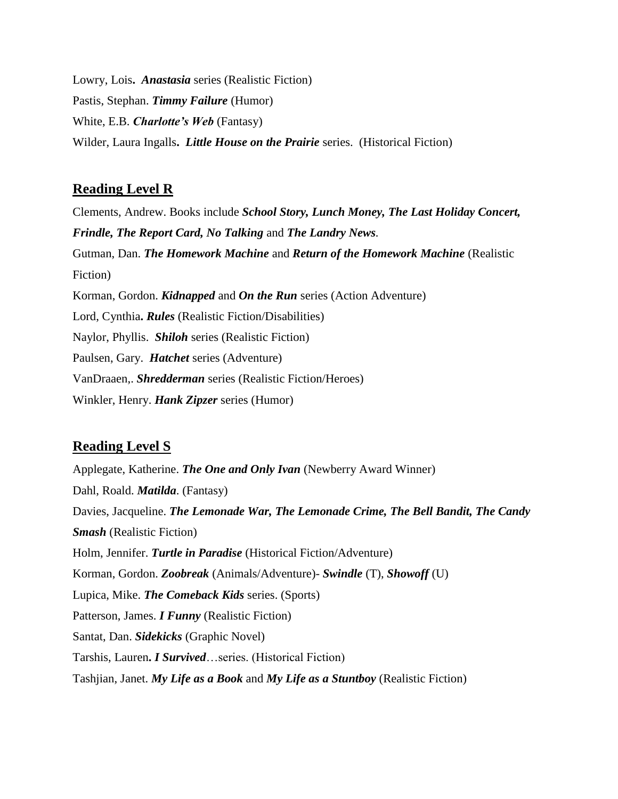Lowry, Lois**.** *Anastasia* series (Realistic Fiction) Pastis, Stephan. *Timmy Failure* (Humor) White, E.B. *Charlotte's Web* (Fantasy) Wilder, Laura Ingalls**.** *Little House on the Prairie* series. (Historical Fiction)

## **Reading Level R**

Clements, Andrew. Books include *School Story, Lunch Money, The Last Holiday Concert, Frindle, The Report Card, No Talking* and *The Landry News.* Gutman, Dan. *The Homework Machine* and *Return of the Homework Machine* (Realistic Fiction) Korman, Gordon. *Kidnapped* and *On the Run* series (Action Adventure) Lord, Cynthia**.** *Rules* (Realistic Fiction/Disabilities) Naylor, Phyllis. *Shiloh* series (Realistic Fiction) Paulsen, Gary. *Hatchet* series (Adventure) VanDraaen,. *Shredderman* series (Realistic Fiction/Heroes) Winkler, Henry. *Hank Zipzer* series (Humor)

### **Reading Level S**

Applegate, Katherine. *The One and Only Ivan* (Newberry Award Winner) Dahl, Roald. *Matilda*. (Fantasy) Davies, Jacqueline. *The Lemonade War, The Lemonade Crime, The Bell Bandit, The Candy Smash* (Realistic Fiction) Holm, Jennifer. *Turtle in Paradise* (Historical Fiction/Adventure) Korman, Gordon. *Zoobreak* (Animals/Adventure)- *Swindle* (T), *Showoff* (U) Lupica, Mike. *The Comeback Kids* series. (Sports) Patterson, James. *I Funny* (Realistic Fiction) Santat, Dan. *Sidekicks* (Graphic Novel) Tarshis, Lauren**.** *I Survived*…series. (Historical Fiction) Tashjian, Janet. *My Life as a Book* and *My Life as a Stuntboy* (Realistic Fiction)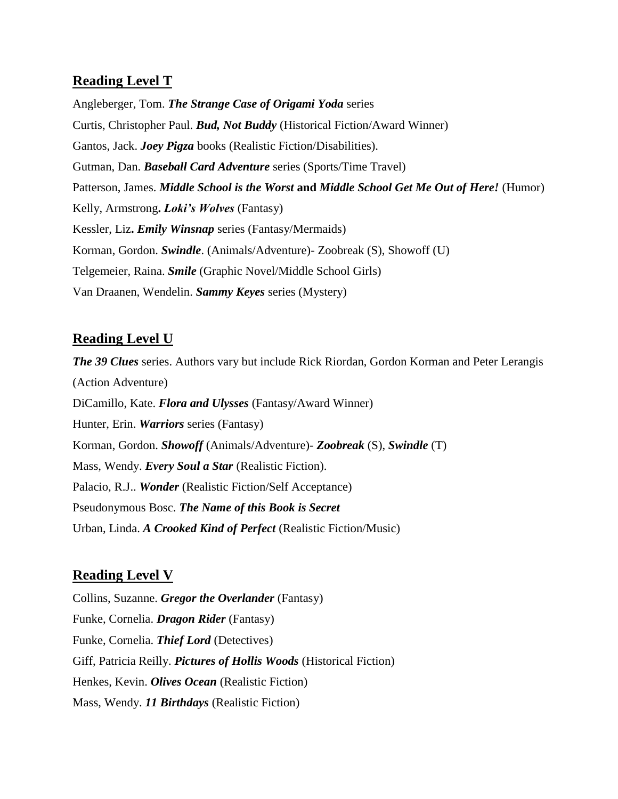# **Reading Level T**

Angleberger, Tom. *The Strange Case of Origami Yoda* series Curtis, Christopher Paul. *Bud, Not Buddy* (Historical Fiction/Award Winner) Gantos, Jack. *Joey Pigza* books (Realistic Fiction/Disabilities). Gutman, Dan. *Baseball Card Adventure* series (Sports/Time Travel) Patterson, James. *Middle School is the Worst* **and** *Middle School Get Me Out of Here!* (Humor) Kelly, Armstrong**.** *Loki's Wolves* (Fantasy) Kessler, Liz**.** *Emily Winsnap* series (Fantasy/Mermaids) Korman, Gordon. *Swindle*. (Animals/Adventure)- Zoobreak (S), Showoff (U) Telgemeier, Raina. *Smile* (Graphic Novel/Middle School Girls) Van Draanen, Wendelin. *Sammy Keyes* series (Mystery)

## **Reading Level U**

*The 39 Clues* series. Authors vary but include Rick Riordan, Gordon Korman and Peter Lerangis (Action Adventure) DiCamillo, Kate. *Flora and Ulysses* (Fantasy/Award Winner) Hunter, Erin. *Warriors* series (Fantasy) Korman, Gordon. *Showoff* (Animals/Adventure)*- Zoobreak* (S), *Swindle* (T) Mass, Wendy. *Every Soul a Star* (Realistic Fiction). Palacio, R.J.. *Wonder* (Realistic Fiction/Self Acceptance) Pseudonymous Bosc. *The Name of this Book is Secret* Urban, Linda. *A Crooked Kind of Perfect* (Realistic Fiction/Music)

### **Reading Level V**

Collins, Suzanne. *Gregor the Overlander* (Fantasy) Funke, Cornelia. *Dragon Rider* (Fantasy) Funke, Cornelia. *Thief Lord* (Detectives) Giff, Patricia Reilly. *Pictures of Hollis Woods* (Historical Fiction) Henkes, Kevin. *Olives Ocean* (Realistic Fiction) Mass, Wendy. *11 Birthdays* (Realistic Fiction)